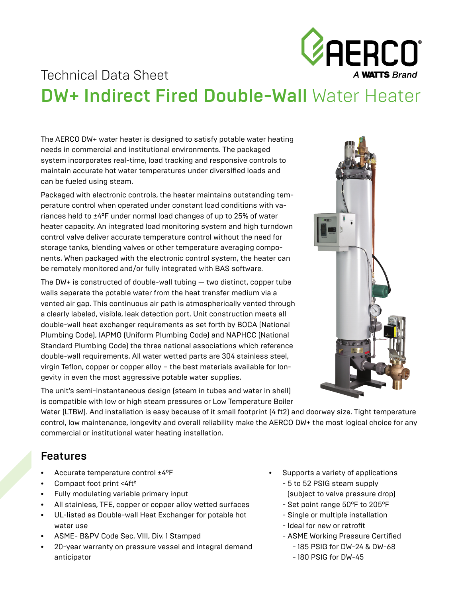

# Technical Data Sheet DW+ Indirect Fired Double-Wall Water Heater

The AERCO DW+ water heater is designed to satisfy potable water heating needs in commercial and institutional environments. The packaged system incorporates real-time, load tracking and responsive controls to maintain accurate hot water temperatures under diversified loads and can be fueled using steam.

Packaged with electronic controls, the heater maintains outstanding temperature control when operated under constant load conditions with variances held to ±4°F under normal load changes of up to 25% of water heater capacity. An integrated load monitoring system and high turndown control valve deliver accurate temperature control without the need for storage tanks, blending valves or other temperature averaging components. When packaged with the electronic control system, the heater can be remotely monitored and/or fully integrated with BAS software.

The DW+ is constructed of double-wall tubing  $-$  two distinct, copper tube walls separate the potable water from the heat transfer medium via a vented air gap. This continuous air path is atmospherically vented through a clearly labeled, visible, leak detection port. Unit construction meets all double-wall heat exchanger requirements as set forth by BOCA (National Plumbing Code), IAPMO (Uniform Plumbing Code) and NAPHCC (National Standard Plumbing Code) the three national associations which reference double-wall requirements. All water wetted parts are 304 stainless steel, virgin Teflon, copper or copper alloy – the best materials available for longevity in even the most aggressive potable water supplies.



The unit's semi-instantaneous design (steam in tubes and water in shell) is compatible with low or high steam pressures or Low Temperature Boiler

Water (LTBW). And installation is easy because of it small footprint (4 ft2) and doorway size. Tight temperature control, low maintenance, longevity and overall reliability make the AERCO DW+ the most logical choice for any commercial or institutional water heating installation.

### Features

- Accurate temperature control ±4°F
- Compact foot print <4ft<sup>2</sup>
- Fully modulating variable primary input
- All stainless, TFE, copper or copper alloy wetted surfaces
- UL-listed as Double-wall Heat Exchanger for potable hot water use
- ASME- B&PV Code Sec. VIII, Div. 1 Stamped
- 20-year warranty on pressure vessel and integral demand anticipator
- Supports a variety of applications
	- 5 to 52 PSIG steam supply (subject to valve pressure drop)
	- Set point range 50°F to 205°F
	- Single or multiple installation
	- Ideal for new or retrofit
	- ASME Working Pressure Certified
		- 185 PSIG for DW-24 & DW-68
		- 180 PSIG for DW-45